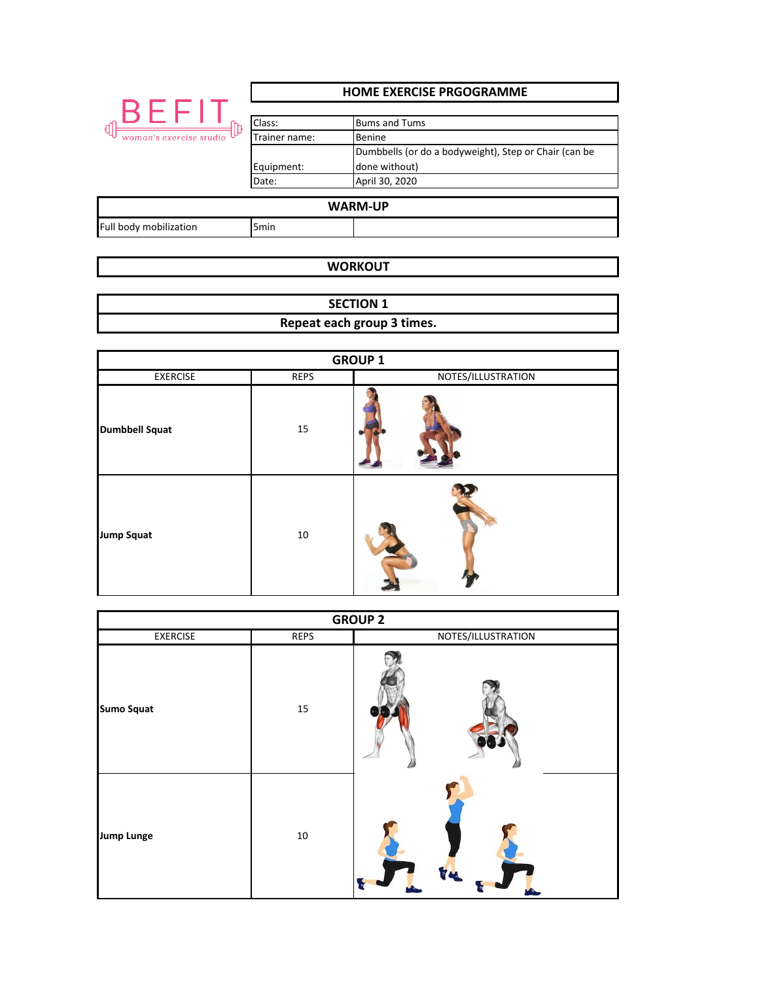|                                 | <b>HOME EXERCISE PRGOGRAMME</b>                |                                                                                                                            |  |
|---------------------------------|------------------------------------------------|----------------------------------------------------------------------------------------------------------------------------|--|
| BEFI<br>woman's exercise studio | Class:<br>Trainer name:<br>Equipment:<br>Date: | <b>Bums and Tums</b><br>Benine<br>Dumbbells (or do a bodyweight), Step or Chair (can be<br>done without)<br>April 30, 2020 |  |
| <b>WARM-UP</b>                  |                                                |                                                                                                                            |  |
| Full body mobilization          | 5 <sub>min</sub>                               |                                                                                                                            |  |

## **WORKOUT**

**Repeat each group 3 times. SECTION 1**

| <b>GROUP 1</b>        |      |                    |  |
|-----------------------|------|--------------------|--|
| <b>EXERCISE</b>       | REPS | NOTES/ILLUSTRATION |  |
| <b>Dumbbell Squat</b> | 15   |                    |  |
| <b>Jump Squat</b>     | 10   |                    |  |

| <b>GROUP 2</b>    |             |                    |  |  |
|-------------------|-------------|--------------------|--|--|
| <b>EXERCISE</b>   | <b>REPS</b> | NOTES/ILLUSTRATION |  |  |
| <b>Sumo Squat</b> | 15          |                    |  |  |
| <b>Jump Lunge</b> | $10\,$      |                    |  |  |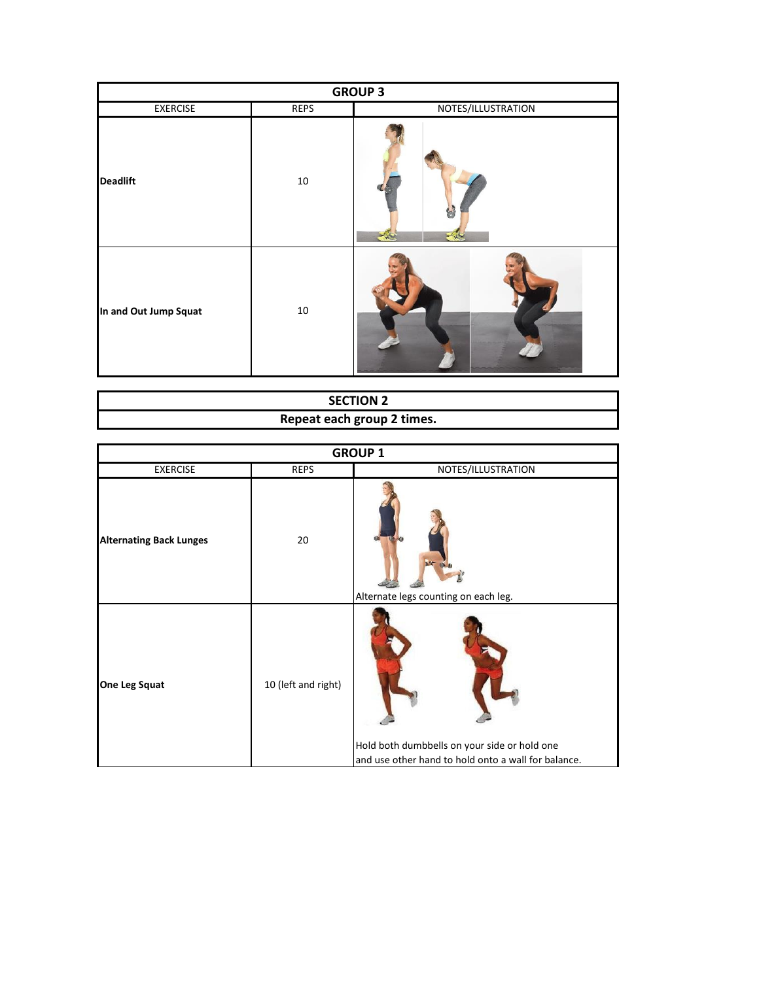| <b>GROUP 3</b>        |             |                    |  |
|-----------------------|-------------|--------------------|--|
| <b>EXERCISE</b>       | <b>REPS</b> | NOTES/ILLUSTRATION |  |
| <b>Deadlift</b>       | $10\,$      |                    |  |
| In and Out Jump Squat | $10\,$      |                    |  |

| <b>SECTION 2</b>           |  |  |  |  |
|----------------------------|--|--|--|--|
| Repeat each group 2 times. |  |  |  |  |

| <b>GROUP 1</b>                 |                     |                                                                                                     |  |
|--------------------------------|---------------------|-----------------------------------------------------------------------------------------------------|--|
| <b>EXERCISE</b>                | <b>REPS</b>         | NOTES/ILLUSTRATION                                                                                  |  |
| <b>Alternating Back Lunges</b> | 20                  | Alternate legs counting on each leg.                                                                |  |
| <b>One Leg Squat</b>           | 10 (left and right) | Hold both dumbbells on your side or hold one<br>and use other hand to hold onto a wall for balance. |  |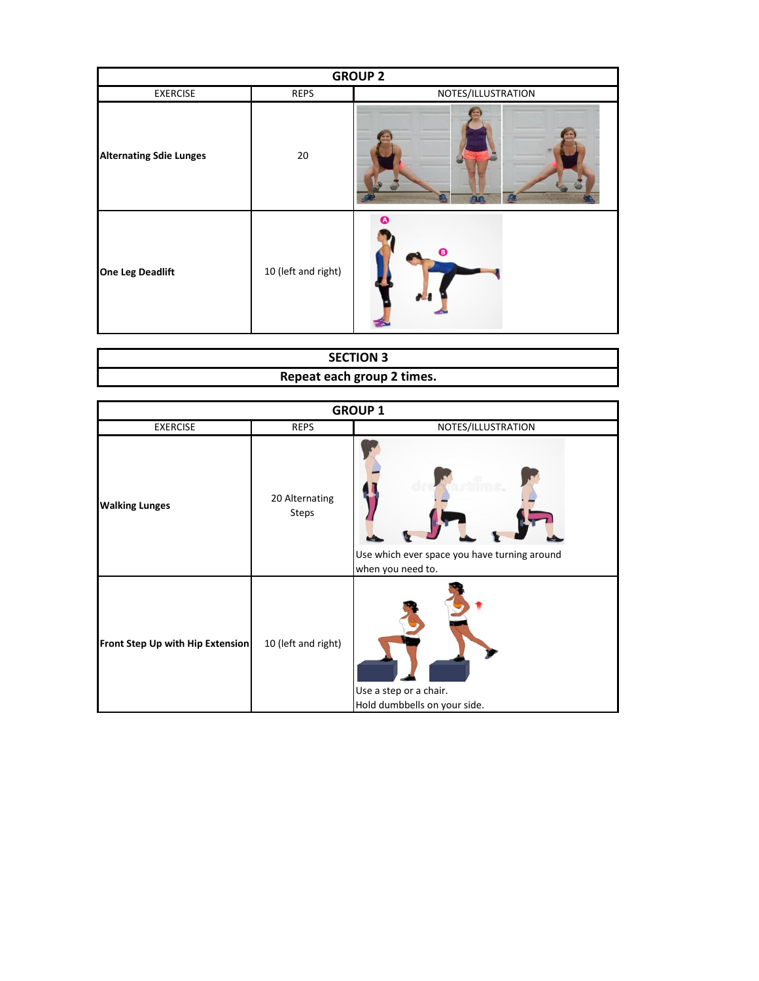| <b>GROUP 2</b>                 |                     |                    |  |
|--------------------------------|---------------------|--------------------|--|
| <b>EXERCISE</b>                | REPS                | NOTES/ILLUSTRATION |  |
| <b>Alternating Sdie Lunges</b> | 20                  | <b>Fire</b>        |  |
| <b>One Leg Deadlift</b>        | 10 (left and right) | Ω<br>o             |  |

| <b>SECTION 3</b>           |
|----------------------------|
| Repeat each group 2 times. |

| <b>GROUP 1</b>                   |                         |                                                                   |  |
|----------------------------------|-------------------------|-------------------------------------------------------------------|--|
| <b>EXERCISE</b>                  | <b>REPS</b>             | NOTES/ILLUSTRATION                                                |  |
| <b>Walking Lunges</b>            | 20 Alternating<br>Steps | Use which ever space you have turning around<br>when you need to. |  |
| Front Step Up with Hip Extension | 10 (left and right)     | Use a step or a chair.<br>Hold dumbbells on your side.            |  |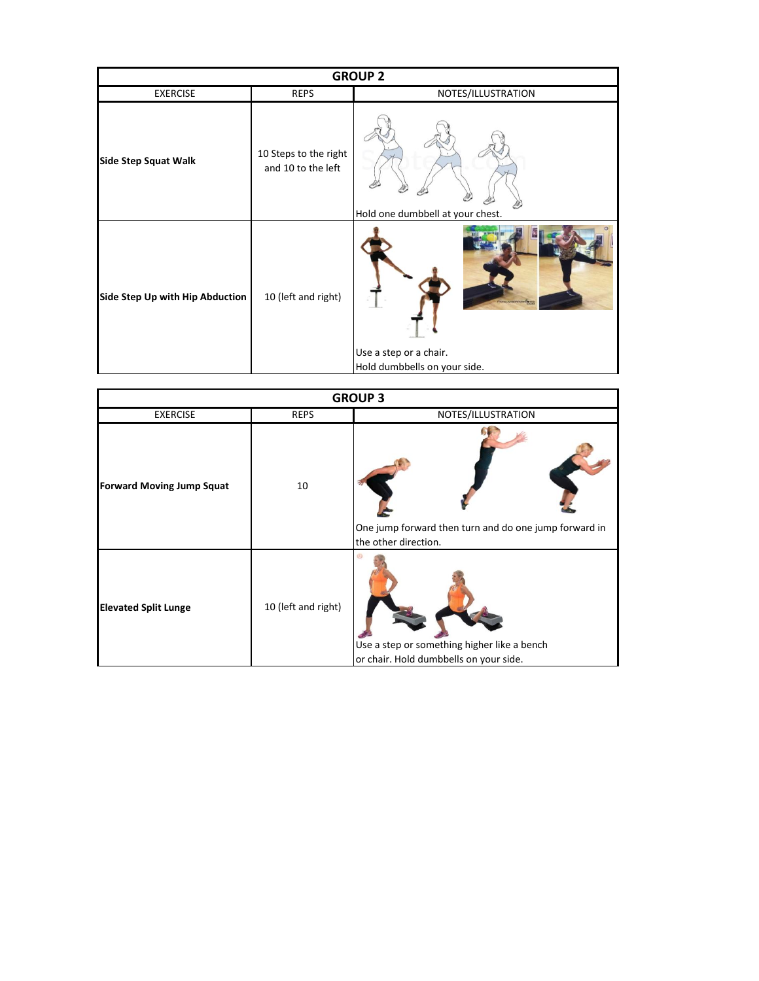| <b>GROUP 2</b>                  |                                             |                                                                               |  |
|---------------------------------|---------------------------------------------|-------------------------------------------------------------------------------|--|
| <b>EXERCISE</b>                 | <b>REPS</b>                                 | NOTES/ILLUSTRATION                                                            |  |
| <b>Side Step Squat Walk</b>     | 10 Steps to the right<br>and 10 to the left | Hold one dumbbell at your chest.                                              |  |
| Side Step Up with Hip Abduction | 10 (left and right)                         | NCAKEWARD <b>SE</b><br>Use a step or a chair.<br>Hold dumbbells on your side. |  |

| <b>GROUP 3</b>                   |                     |                                                                                       |  |
|----------------------------------|---------------------|---------------------------------------------------------------------------------------|--|
| <b>EXERCISE</b>                  | <b>REPS</b>         | NOTES/ILLUSTRATION                                                                    |  |
| <b>Forward Moving Jump Squat</b> | 10                  | One jump forward then turn and do one jump forward in<br>the other direction.         |  |
| <b>Elevated Split Lunge</b>      | 10 (left and right) | Use a step or something higher like a bench<br>or chair. Hold dumbbells on your side. |  |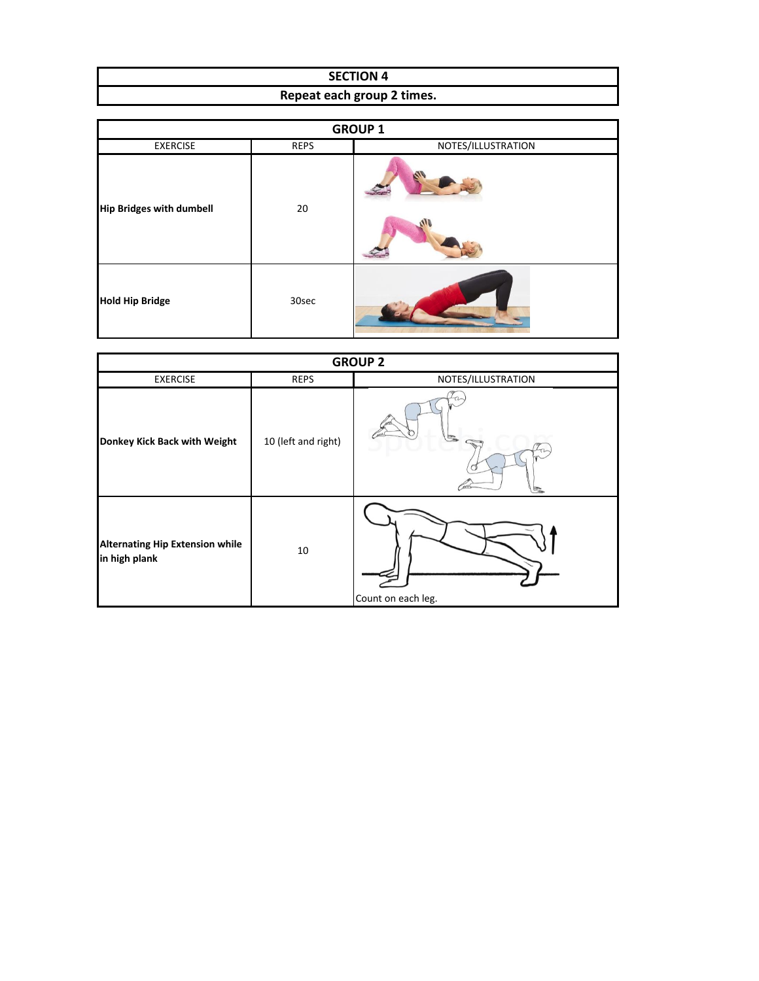| <b>SECTION 4</b>           |  |  |  |
|----------------------------|--|--|--|
| Repeat each group 2 times. |  |  |  |

| <b>GROUP 1</b>                  |             |                    |  |  |
|---------------------------------|-------------|--------------------|--|--|
| <b>EXERCISE</b>                 | <b>REPS</b> | NOTES/ILLUSTRATION |  |  |
| <b>Hip Bridges with dumbell</b> | 20          | $\sqrt{2}$         |  |  |
| <b>Hold Hip Bridge</b>          | 30sec       |                    |  |  |

| <b>GROUP 2</b>                                          |                     |                    |  |
|---------------------------------------------------------|---------------------|--------------------|--|
| <b>EXERCISE</b>                                         | <b>REPS</b>         | NOTES/ILLUSTRATION |  |
| Donkey Kick Back with Weight                            | 10 (left and right) | ÷                  |  |
| <b>Alternating Hip Extension while</b><br>in high plank | 10                  | Count on each leg. |  |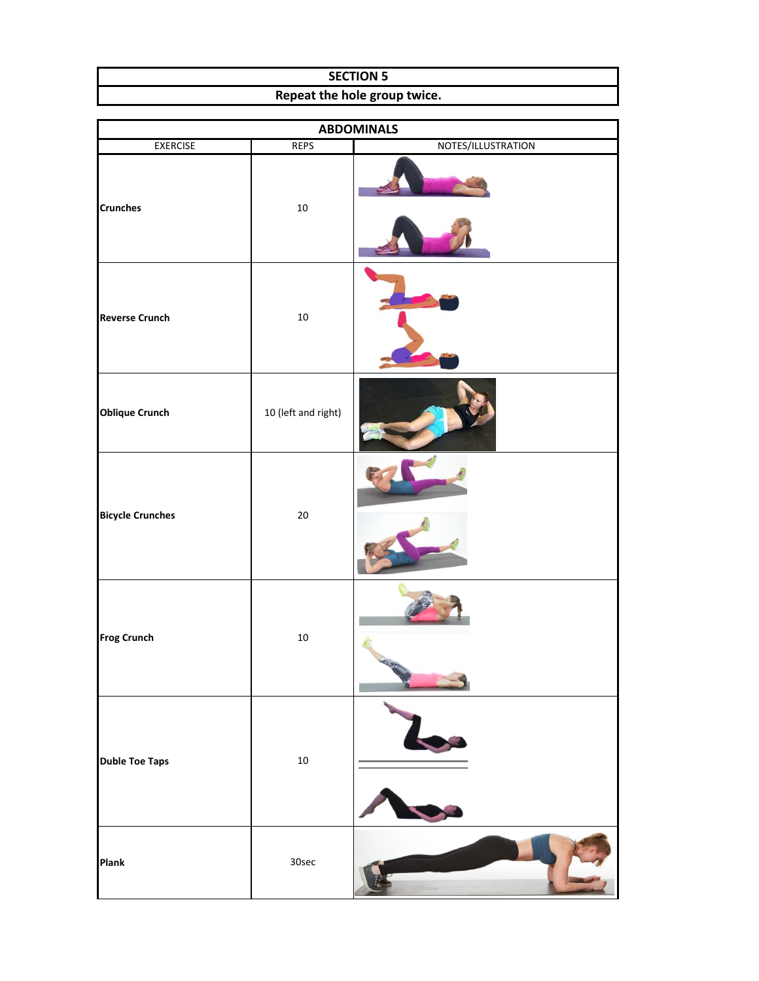| <b>SECTION 5</b>             |  |  |
|------------------------------|--|--|
| Repeat the hole group twice. |  |  |

| <b>ABDOMINALS</b>       |                     |                    |  |  |
|-------------------------|---------------------|--------------------|--|--|
| <b>EXERCISE</b>         | <b>REPS</b>         | NOTES/ILLUSTRATION |  |  |
| <b>Crunches</b>         | $10\,$              |                    |  |  |
| <b>Reverse Crunch</b>   | $10\,$              |                    |  |  |
| <b>Oblique Crunch</b>   | 10 (left and right) |                    |  |  |
| <b>Bicycle Crunches</b> | $20\,$              |                    |  |  |
| <b>Frog Crunch</b>      | $10\,$              |                    |  |  |
| <b>Duble Toe Taps</b>   | $10\,$              |                    |  |  |
| Plank                   | 30sec               |                    |  |  |